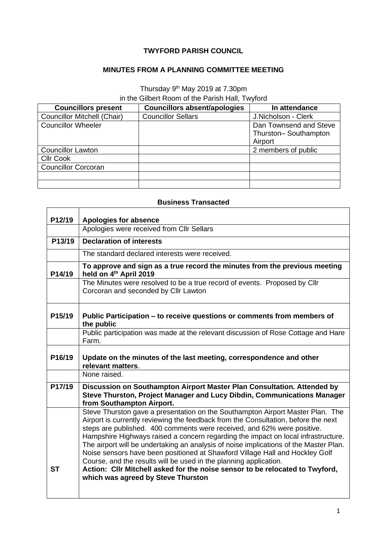## **TWYFORD PARISH COUNCIL**

## **MINUTES FROM A PLANNING COMMITTEE MEETING**

## Thursday 9<sup>th</sup> May 2019 at 7.30pm in the Gilbert Room of the Parish Hall, Twyford

| <b>Councillors present</b>         | <b>Councillors absent/apologies</b> | In attendance          |
|------------------------------------|-------------------------------------|------------------------|
| <b>Councillor Mitchell (Chair)</b> | <b>Councillor Sellars</b>           | J.Nicholson - Clerk    |
| <b>Councillor Wheeler</b>          |                                     | Dan Townsend and Steve |
|                                    |                                     | Thurston-Southampton   |
|                                    |                                     | Airport                |
| <b>Councillor Lawton</b>           |                                     | 2 members of public    |
| <b>CIIr Cook</b>                   |                                     |                        |
| <b>Councillor Corcoran</b>         |                                     |                        |
|                                    |                                     |                        |
|                                    |                                     |                        |

## **Business Transacted**

ř.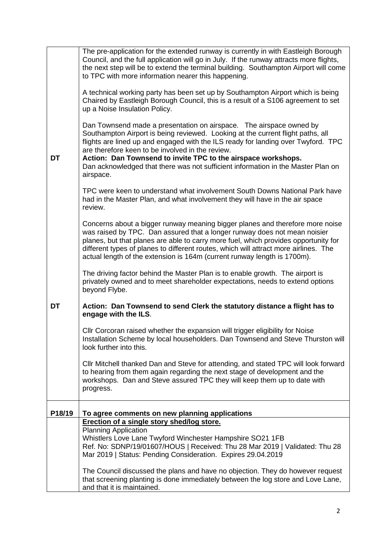|        | The pre-application for the extended runway is currently in with Eastleigh Borough<br>Council, and the full application will go in July. If the runway attracts more flights,<br>the next step will be to extend the terminal building. Southampton Airport will come<br>to TPC with more information nearer this happening.                                                                                                                                      |
|--------|-------------------------------------------------------------------------------------------------------------------------------------------------------------------------------------------------------------------------------------------------------------------------------------------------------------------------------------------------------------------------------------------------------------------------------------------------------------------|
|        | A technical working party has been set up by Southampton Airport which is being<br>Chaired by Eastleigh Borough Council, this is a result of a S106 agreement to set<br>up a Noise Insulation Policy.                                                                                                                                                                                                                                                             |
| DT     | Dan Townsend made a presentation on airspace. The airspace owned by<br>Southampton Airport is being reviewed. Looking at the current flight paths, all<br>flights are lined up and engaged with the ILS ready for landing over Twyford. TPC<br>are therefore keen to be involved in the review.<br>Action: Dan Townsend to invite TPC to the airspace workshops.<br>Dan acknowledged that there was not sufficient information in the Master Plan on<br>airspace. |
|        | TPC were keen to understand what involvement South Downs National Park have<br>had in the Master Plan, and what involvement they will have in the air space<br>review.                                                                                                                                                                                                                                                                                            |
|        | Concerns about a bigger runway meaning bigger planes and therefore more noise<br>was raised by TPC. Dan assured that a longer runway does not mean noisier<br>planes, but that planes are able to carry more fuel, which provides opportunity for<br>different types of planes to different routes, which will attract more airlines. The<br>actual length of the extension is 164m (current runway length is 1700m).                                             |
|        | The driving factor behind the Master Plan is to enable growth. The airport is<br>privately owned and to meet shareholder expectations, needs to extend options<br>beyond Flybe.                                                                                                                                                                                                                                                                                   |
| DT     | Action: Dan Townsend to send Clerk the statutory distance a flight has to<br>engage with the ILS.                                                                                                                                                                                                                                                                                                                                                                 |
|        | CIIr Corcoran raised whether the expansion will trigger eligibility for Noise<br>Installation Scheme by local householders. Dan Townsend and Steve Thurston will<br>look further into this.                                                                                                                                                                                                                                                                       |
|        | CIIr Mitchell thanked Dan and Steve for attending, and stated TPC will look forward<br>to hearing from them again regarding the next stage of development and the<br>workshops. Dan and Steve assured TPC they will keep them up to date with<br>progress.                                                                                                                                                                                                        |
| P18/19 | To agree comments on new planning applications                                                                                                                                                                                                                                                                                                                                                                                                                    |
|        | Erection of a single story shed/log store.<br><b>Planning Application</b><br>Whistlers Love Lane Twyford Winchester Hampshire SO21 1FB<br>Ref. No: SDNP/19/01607/HOUS   Received: Thu 28 Mar 2019   Validated: Thu 28<br>Mar 2019   Status: Pending Consideration. Expires 29.04.2019                                                                                                                                                                             |
|        | The Council discussed the plans and have no objection. They do however request<br>that screening planting is done immediately between the log store and Love Lane,<br>and that it is maintained.                                                                                                                                                                                                                                                                  |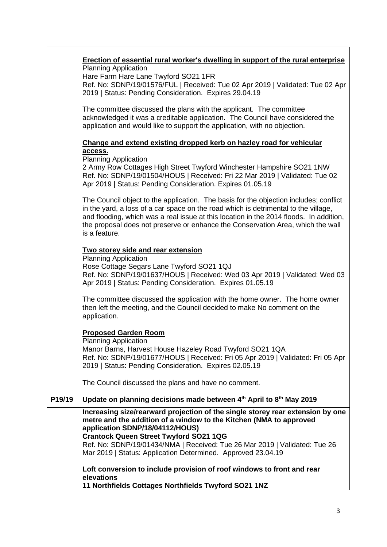|        | Erection of essential rural worker's dwelling in support of the rural enterprise                                                                                                                                                                                                                                                                                           |  |  |
|--------|----------------------------------------------------------------------------------------------------------------------------------------------------------------------------------------------------------------------------------------------------------------------------------------------------------------------------------------------------------------------------|--|--|
|        | <b>Planning Application</b>                                                                                                                                                                                                                                                                                                                                                |  |  |
|        | Hare Farm Hare Lane Twyford SO21 1FR<br>Ref. No: SDNP/19/01576/FUL   Received: Tue 02 Apr 2019   Validated: Tue 02 Apr                                                                                                                                                                                                                                                     |  |  |
|        | 2019   Status: Pending Consideration. Expires 29.04.19                                                                                                                                                                                                                                                                                                                     |  |  |
|        | The committee discussed the plans with the applicant. The committee<br>acknowledged it was a creditable application. The Council have considered the<br>application and would like to support the application, with no objection.                                                                                                                                          |  |  |
|        | Change and extend existing dropped kerb on hazley road for vehicular                                                                                                                                                                                                                                                                                                       |  |  |
|        | access.<br><b>Planning Application</b>                                                                                                                                                                                                                                                                                                                                     |  |  |
|        | 2 Army Row Cottages High Street Twyford Winchester Hampshire SO21 1NW<br>Ref. No: SDNP/19/01504/HOUS   Received: Fri 22 Mar 2019   Validated: Tue 02<br>Apr 2019   Status: Pending Consideration. Expires 01.05.19                                                                                                                                                         |  |  |
|        | The Council object to the application. The basis for the objection includes; conflict<br>in the yard, a loss of a car space on the road which is detrimental to the village,<br>and flooding, which was a real issue at this location in the 2014 floods. In addition,<br>the proposal does not preserve or enhance the Conservation Area, which the wall<br>is a feature. |  |  |
|        | Two storey side and rear extension                                                                                                                                                                                                                                                                                                                                         |  |  |
|        | <b>Planning Application</b>                                                                                                                                                                                                                                                                                                                                                |  |  |
|        | Rose Cottage Segars Lane Twyford SO21 1QJ<br>Ref. No: SDNP/19/01637/HOUS   Received: Wed 03 Apr 2019   Validated: Wed 03<br>Apr 2019   Status: Pending Consideration. Expires 01.05.19                                                                                                                                                                                     |  |  |
|        | The committee discussed the application with the home owner. The home owner<br>then left the meeting, and the Council decided to make No comment on the<br>application.                                                                                                                                                                                                    |  |  |
|        | <b>Proposed Garden Room</b>                                                                                                                                                                                                                                                                                                                                                |  |  |
|        | <b>Planning Application</b>                                                                                                                                                                                                                                                                                                                                                |  |  |
|        | Manor Barns, Harvest House Hazeley Road Twyford SO21 1QA<br>Ref. No: SDNP/19/01677/HOUS   Received: Fri 05 Apr 2019   Validated: Fri 05 Apr<br>2019   Status: Pending Consideration. Expires 02.05.19                                                                                                                                                                      |  |  |
|        | The Council discussed the plans and have no comment.                                                                                                                                                                                                                                                                                                                       |  |  |
| P19/19 | Update on planning decisions made between 4th April to 8th May 2019                                                                                                                                                                                                                                                                                                        |  |  |
|        | Increasing size/rearward projection of the single storey rear extension by one<br>metre and the addition of a window to the Kitchen (NMA to approved<br>application SDNP/18/04112/HOUS)                                                                                                                                                                                    |  |  |
|        | <b>Crantock Queen Street Twyford SO21 1QG</b>                                                                                                                                                                                                                                                                                                                              |  |  |
|        | Ref. No: SDNP/19/01434/NMA   Received: Tue 26 Mar 2019   Validated: Tue 26<br>Mar 2019   Status: Application Determined. Approved 23.04.19                                                                                                                                                                                                                                 |  |  |
|        | Loft conversion to include provision of roof windows to front and rear<br>elevations                                                                                                                                                                                                                                                                                       |  |  |
|        | 11 Northfields Cottages Northfields Twyford SO21 1NZ                                                                                                                                                                                                                                                                                                                       |  |  |